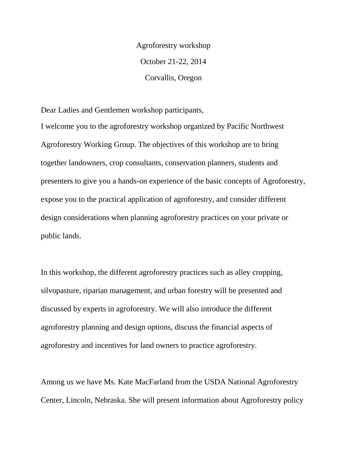Agroforestry workshop October 21-22, 2014 Corvallis, Oregon

Dear Ladies and Gentlemen workshop participants,

I welcome you to the agroforestry workshop organized by Pacific Northwest Agroforestry Working Group. The objectives of this workshop are to bring together landowners, crop consultants, conservation planners, students and presenters to give you a hands-on experience of the basic concepts of Agroforestry, expose you to the practical application of agroforestry, and consider different design considerations when planning agroforestry practices on your private or public lands.

In this workshop, the different agroforestry practices such as alley cropping, silvopasture, riparian management, and urban forestry will be presented and discussed by experts in agroforestry. We will also introduce the different agroforestry planning and design options, discuss the financial aspects of agroforestry and incentives for land owners to practice agroforestry.

Among us we have Ms. Kate MacFarland from the USDA National Agroforestry Center, Lincoln, Nebraska. She will present information about Agroforestry policy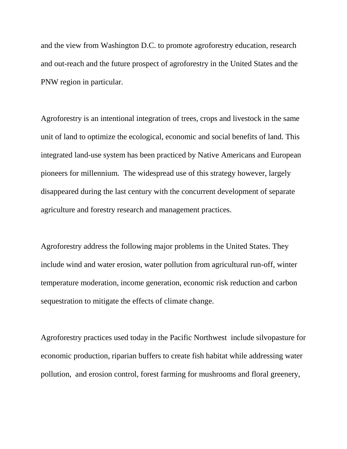and the view from Washington D.C. to promote agroforestry education, research and out-reach and the future prospect of agroforestry in the United States and the PNW region in particular.

Agroforestry is an intentional integration of trees, crops and livestock in the same unit of land to optimize the ecological, economic and social benefits of land. This integrated land-use system has been practiced by Native Americans and European pioneers for millennium. The widespread use of this strategy however, largely disappeared during the last century with the concurrent development of separate agriculture and forestry research and management practices.

Agroforestry address the following major problems in the United States. They include wind and water erosion, water pollution from agricultural run-off, winter temperature moderation, income generation, economic risk reduction and carbon sequestration to mitigate the effects of climate change.

Agroforestry practices used today in the Pacific Northwest include silvopasture for economic production, riparian buffers to create fish habitat while addressing water pollution, and erosion control, forest farming for mushrooms and floral greenery,